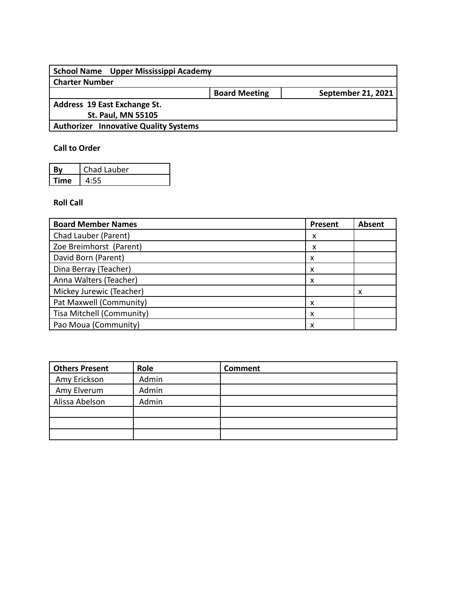| School Name Upper Mississippi Academy        |                      |                           |
|----------------------------------------------|----------------------|---------------------------|
| <b>Charter Number</b>                        |                      |                           |
|                                              | <b>Board Meeting</b> | <b>September 21, 2021</b> |
| Address 19 East Exchange St.                 |                      |                           |
| <b>St. Paul, MN 55105</b>                    |                      |                           |
| <b>Authorizer Innovative Quality Systems</b> |                      |                           |
|                                              |                      |                           |

## **Call to Order**

| Rν   | Chad Lauber |
|------|-------------|
| Time |             |

## **Roll Call**

| <b>Board Member Names</b> | Present | <b>Absent</b> |
|---------------------------|---------|---------------|
| Chad Lauber (Parent)      | x       |               |
| Zoe Breimhorst (Parent)   | x       |               |
| David Born (Parent)       | x       |               |
| Dina Berray (Teacher)     | x       |               |
| Anna Walters (Teacher)    | x       |               |
| Mickey Jurewic (Teacher)  |         |               |
| Pat Maxwell (Community)   | х       |               |
| Tisa Mitchell (Community) | x       |               |
| Pao Moua (Community)      | x       |               |

| <b>Others Present</b> | Role  | <b>Comment</b> |
|-----------------------|-------|----------------|
| Amy Erickson          | Admin |                |
| Amy Elverum           | Admin |                |
| Alissa Abelson        | Admin |                |
|                       |       |                |
|                       |       |                |
|                       |       |                |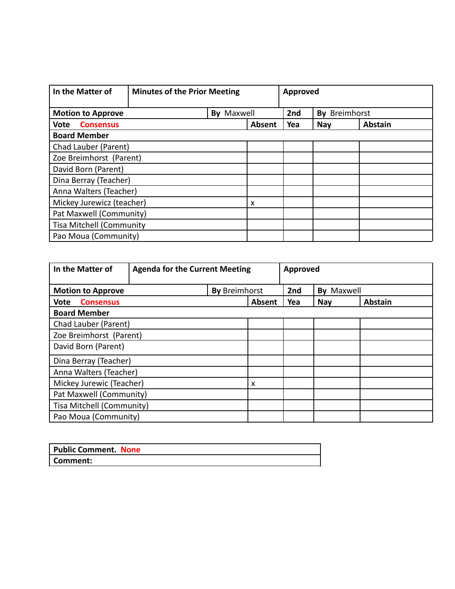| In the Matter of                | <b>Minutes of the Prior Meeting</b> |                   | Approved |     |               |                |
|---------------------------------|-------------------------------------|-------------------|----------|-----|---------------|----------------|
| <b>Motion to Approve</b>        |                                     | <b>By Maxwell</b> |          | 2nd | By Breimhorst |                |
| <b>Consensus</b><br><b>Vote</b> |                                     |                   | Absent   | Yea | <b>Nay</b>    | <b>Abstain</b> |
| <b>Board Member</b>             |                                     |                   |          |     |               |                |
| Chad Lauber (Parent)            |                                     |                   |          |     |               |                |
| Zoe Breimhorst (Parent)         |                                     |                   |          |     |               |                |
| David Born (Parent)             |                                     |                   |          |     |               |                |
| Dina Berray (Teacher)           |                                     |                   |          |     |               |                |
| Anna Walters (Teacher)          |                                     |                   |          |     |               |                |
| Mickey Jurewicz (teacher)       |                                     |                   | x        |     |               |                |
| Pat Maxwell (Community)         |                                     |                   |          |     |               |                |
| <b>Tisa Mitchell (Community</b> |                                     |                   |          |     |               |                |
| Pao Moua (Community)            |                                     |                   |          |     |               |                |

| In the Matter of                                 | <b>Agenda for the Current Meeting</b> |  |        | Approved             |            |                |
|--------------------------------------------------|---------------------------------------|--|--------|----------------------|------------|----------------|
| <b>By Breimhorst</b><br><b>Motion to Approve</b> |                                       |  |        | 2nd<br>Maxwell<br>Bv |            |                |
| <b>Vote</b><br><b>Consensus</b>                  |                                       |  | Absent | Yea                  | <b>Nay</b> | <b>Abstain</b> |
| <b>Board Member</b>                              |                                       |  |        |                      |            |                |
| Chad Lauber (Parent)                             |                                       |  |        |                      |            |                |
| Zoe Breimhorst (Parent)                          |                                       |  |        |                      |            |                |
| David Born (Parent)                              |                                       |  |        |                      |            |                |
| Dina Berray (Teacher)                            |                                       |  |        |                      |            |                |
| Anna Walters (Teacher)                           |                                       |  |        |                      |            |                |
| Mickey Jurewic (Teacher)                         |                                       |  | x      |                      |            |                |
| Pat Maxwell (Community)                          |                                       |  |        |                      |            |                |
| Tisa Mitchell (Community)                        |                                       |  |        |                      |            |                |
| Pao Moua (Community)                             |                                       |  |        |                      |            |                |

| <b>Public Comment. None</b> |  |
|-----------------------------|--|
| Comment:                    |  |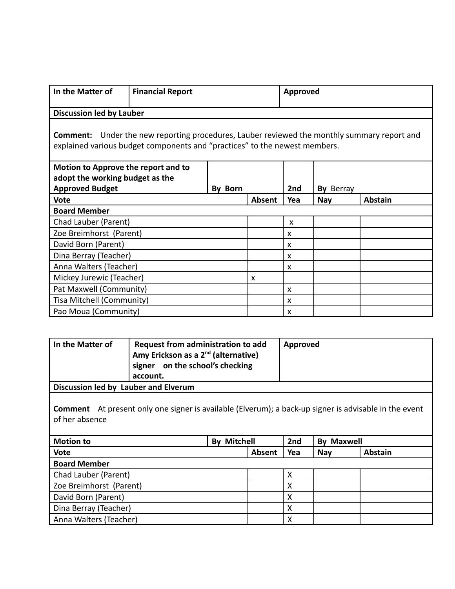| In the Matter of                                                                                                                                                                 | <b>Financial Report</b> |        |     | Approved                  |                |  |  |
|----------------------------------------------------------------------------------------------------------------------------------------------------------------------------------|-------------------------|--------|-----|---------------------------|----------------|--|--|
| <b>Discussion led by Lauber</b>                                                                                                                                                  |                         |        |     |                           |                |  |  |
| <b>Comment:</b> Under the new reporting procedures, Lauber reviewed the monthly summary report and<br>explained various budget components and "practices" to the newest members. |                         |        |     |                           |                |  |  |
| Motion to Approve the report and to                                                                                                                                              |                         |        |     |                           |                |  |  |
| adopt the working budget as the                                                                                                                                                  |                         |        |     | 2nd                       | By Berray      |  |  |
| <b>Approved Budget</b><br><b>Born</b><br>Bv<br><b>Vote</b>                                                                                                                       |                         | Absent | Yea | <b>Nay</b>                | <b>Abstain</b> |  |  |
| <b>Board Member</b>                                                                                                                                                              |                         |        |     |                           |                |  |  |
| Chad Lauber (Parent)                                                                                                                                                             |                         |        |     | X                         |                |  |  |
| Zoe Breimhorst (Parent)                                                                                                                                                          |                         |        |     | X                         |                |  |  |
| David Born (Parent)                                                                                                                                                              |                         |        |     | X                         |                |  |  |
| Dina Berray (Teacher)                                                                                                                                                            |                         |        |     | X                         |                |  |  |
| Anna Walters (Teacher)                                                                                                                                                           |                         |        |     | X                         |                |  |  |
| Mickey Jurewic (Teacher)                                                                                                                                                         |                         | X      |     |                           |                |  |  |
| Pat Maxwell (Community)                                                                                                                                                          |                         |        |     | $\boldsymbol{\mathsf{x}}$ |                |  |  |
| Tisa Mitchell (Community)                                                                                                                                                        |                         |        |     | X                         |                |  |  |
|                                                                                                                                                                                  | Pao Moua (Community)    |        |     | X                         |                |  |  |

| In the Matter of                                                                                                               | Request from administration to add<br>Amy Erickson as a 2 <sup>nd</sup> (alternative)<br>signer on the school's checking<br>account. |                    |        | Approved |                   |                |
|--------------------------------------------------------------------------------------------------------------------------------|--------------------------------------------------------------------------------------------------------------------------------------|--------------------|--------|----------|-------------------|----------------|
| Discussion led by Lauber and Elverum                                                                                           |                                                                                                                                      |                    |        |          |                   |                |
| <b>Comment</b> At present only one signer is available (Elverum); a back-up signer is advisable in the event<br>of her absence |                                                                                                                                      |                    |        |          |                   |                |
| <b>Motion to</b>                                                                                                               |                                                                                                                                      | <b>By Mitchell</b> |        | 2nd      | <b>By Maxwell</b> |                |
| Vote                                                                                                                           |                                                                                                                                      |                    | Absent | Yea      | <b>Nay</b>        | <b>Abstain</b> |
| <b>Board Member</b>                                                                                                            |                                                                                                                                      |                    |        |          |                   |                |
| Chad Lauber (Parent)                                                                                                           |                                                                                                                                      |                    |        | X        |                   |                |
| Zoe Breimhorst (Parent)                                                                                                        |                                                                                                                                      |                    |        | X        |                   |                |
| David Born (Parent)                                                                                                            |                                                                                                                                      |                    | X      |          |                   |                |
| Dina Berray (Teacher)                                                                                                          |                                                                                                                                      |                    | X      |          |                   |                |
| Anna Walters (Teacher)                                                                                                         |                                                                                                                                      |                    |        | X        |                   |                |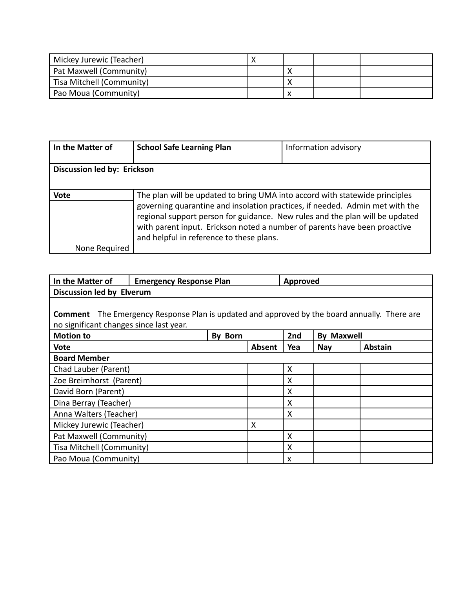| Mickey Jurewic (Teacher)  |  |  |
|---------------------------|--|--|
| Pat Maxwell (Community)   |  |  |
| Tisa Mitchell (Community) |  |  |
| Pao Moua (Community)      |  |  |

| In the Matter of            | <b>School Safe Learning Plan</b>                                                                                                                                                                                                                                                                                                                                     | Information advisory |
|-----------------------------|----------------------------------------------------------------------------------------------------------------------------------------------------------------------------------------------------------------------------------------------------------------------------------------------------------------------------------------------------------------------|----------------------|
|                             |                                                                                                                                                                                                                                                                                                                                                                      |                      |
| Discussion led by: Erickson |                                                                                                                                                                                                                                                                                                                                                                      |                      |
|                             |                                                                                                                                                                                                                                                                                                                                                                      |                      |
| <b>Vote</b>                 | The plan will be updated to bring UMA into accord with statewide principles<br>governing quarantine and insolation practices, if needed. Admin met with the<br>regional support person for guidance. New rules and the plan will be updated<br>with parent input. Erickson noted a number of parents have been proactive<br>and helpful in reference to these plans. |                      |
| None Required               |                                                                                                                                                                                                                                                                                                                                                                      |                      |

| In the Matter of                        | <b>Emergency Response Plan</b>                                                       |                |        | Approved |                   |                |
|-----------------------------------------|--------------------------------------------------------------------------------------|----------------|--------|----------|-------------------|----------------|
| Discussion led by Elverum               |                                                                                      |                |        |          |                   |                |
|                                         |                                                                                      |                |        |          |                   |                |
| <b>Comment</b>                          | The Emergency Response Plan is updated and approved by the board annually. There are |                |        |          |                   |                |
| no significant changes since last year. |                                                                                      |                |        |          |                   |                |
| <b>Motion to</b>                        |                                                                                      | <b>By Born</b> |        | 2nd      | <b>By Maxwell</b> |                |
| <b>Vote</b>                             |                                                                                      |                | Absent | Yea      | <b>Nay</b>        | <b>Abstain</b> |
| <b>Board Member</b>                     |                                                                                      |                |        |          |                   |                |
| Chad Lauber (Parent)                    |                                                                                      |                |        | X        |                   |                |
| Zoe Breimhorst (Parent)                 |                                                                                      |                |        | x        |                   |                |
| David Born (Parent)                     |                                                                                      |                |        | X        |                   |                |
| Dina Berray (Teacher)                   |                                                                                      |                |        | X        |                   |                |
| Anna Walters (Teacher)                  |                                                                                      |                |        | x        |                   |                |
| Mickey Jurewic (Teacher)                |                                                                                      |                | X      |          |                   |                |
| Pat Maxwell (Community)                 |                                                                                      |                |        | Χ        |                   |                |
| Tisa Mitchell (Community)               |                                                                                      |                |        | x        |                   |                |
| Pao Moua (Community)                    |                                                                                      |                |        | X        |                   |                |